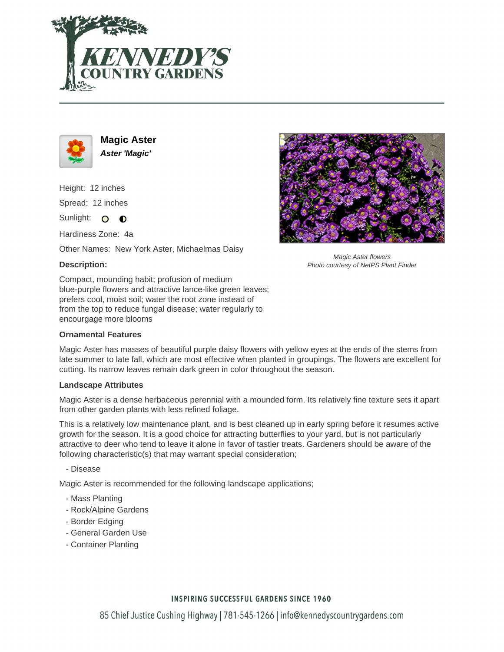



**Magic Aster Aster 'Magic'**

Height: 12 inches Spread: 12 inches Sunlight: O **O** 

Hardiness Zone: 4a

Other Names: New York Aster, Michaelmas Daisy

# **Description:**

Magic Aster flowers Photo courtesy of NetPS Plant Finder

Compact, mounding habit; profusion of medium blue-purple flowers and attractive lance-like green leaves; prefers cool, moist soil; water the root zone instead of from the top to reduce fungal disease; water regularly to encourgage more blooms

### **Ornamental Features**

Magic Aster has masses of beautiful purple daisy flowers with yellow eyes at the ends of the stems from late summer to late fall, which are most effective when planted in groupings. The flowers are excellent for cutting. Its narrow leaves remain dark green in color throughout the season.

### **Landscape Attributes**

Magic Aster is a dense herbaceous perennial with a mounded form. Its relatively fine texture sets it apart from other garden plants with less refined foliage.

This is a relatively low maintenance plant, and is best cleaned up in early spring before it resumes active growth for the season. It is a good choice for attracting butterflies to your yard, but is not particularly attractive to deer who tend to leave it alone in favor of tastier treats. Gardeners should be aware of the following characteristic(s) that may warrant special consideration;

- Disease

Magic Aster is recommended for the following landscape applications;

- Mass Planting
- Rock/Alpine Gardens
- Border Edging
- General Garden Use
- Container Planting

# **INSPIRING SUCCESSFUL GARDENS SINCE 1960**